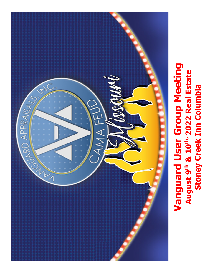

**Stoney Creek Inn Columbia**

**Stoney Creek Inn Columbia** 

August 9th & 10th, 2022 Real Estate